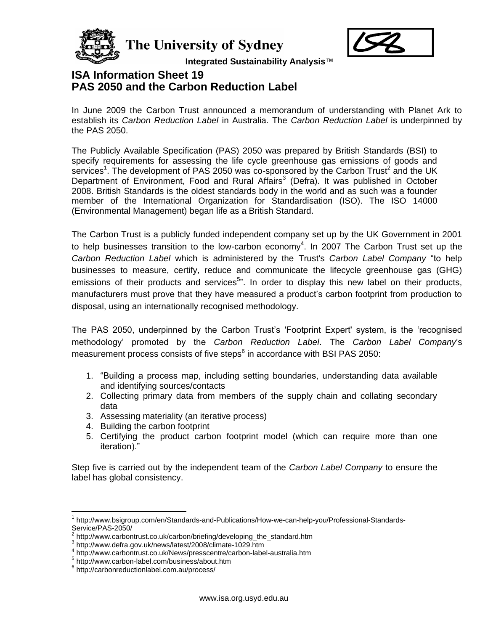

The University of Sydney



**Integrated Sustainability Analysis**™

## **ISA Information Sheet 19 PAS 2050 and the Carbon Reduction Label**

In June 2009 the Carbon Trust announced a memorandum of understanding with Planet Ark to establish its *Carbon Reduction Label* in Australia. The *Carbon Reduction Label* is underpinned by the PAS 2050.

The Publicly Available Specification (PAS) 2050 was prepared by British Standards (BSI) to specify requirements for assessing the life cycle greenhouse gas emissions of goods and services<sup>1</sup>. The development of PAS 2050 was co-sponsored by the Carbon Trust<sup>2</sup> and the UK Department of Environment, Food and Rural Affairs<sup>3</sup> (Defra). It was published in October 2008. British Standards is the oldest standards body in the world and as such was a founder member of the International Organization for Standardisation (ISO). The ISO 14000 (Environmental Management) began life as a British Standard.

The Carbon Trust is a publicly funded independent company set up by the UK Government in 2001 to help businesses transition to the low-carbon economy<sup>4</sup>. In 2007 The Carbon Trust set up the *Carbon Reduction Label* which is administered by the Trust's *Carbon Label Company* "to help businesses to measure, certify, reduce and communicate the lifecycle greenhouse gas (GHG) emissions of their products and services<sup>5</sup>". In order to display this new label on their products, manufacturers must prove that they have measured a product"s carbon footprint from production to disposal, using an internationally recognised methodology.

The PAS 2050, underpinned by the Carbon Trust"s 'Footprint Expert' system, is the "recognised methodology" promoted by the *Carbon Reduction Label*. The *Carbon Label Company*'s measurement process consists of five steps<sup>6</sup> in accordance with BSI PAS 2050:

- 1. "Building a process map, including setting boundaries, understanding data available and identifying sources/contacts
- 2. Collecting primary data from members of the supply chain and collating secondary data
- 3. Assessing materiality (an iterative process)
- 4. Building the carbon footprint
- 5. Certifying the product carbon footprint model (which can require more than one iteration)."

Step five is carried out by the independent team of the *Carbon Label Company* to ensure the label has global consistency.

 $\overline{a}$ 

<sup>1</sup> http://www.bsigroup.com/en/Standards-and-Publications/How-we-can-help-you/Professional-Standards-Service/PAS-2050/

<sup>&</sup>lt;sup>2</sup> http://www.carbontrust.co.uk/carbon/briefing/developing\_the\_standard.htm

<sup>3</sup> http://www.defra.gov.uk/news/latest/2008/climate-1029.htm

<sup>4</sup> http://www.carbontrust.co.uk/News/presscentre/carbon-label-australia.htm

<sup>5</sup> http://www.carbon-label.com/business/about.htm

<sup>6</sup> http://carbonreductionlabel.com.au/process/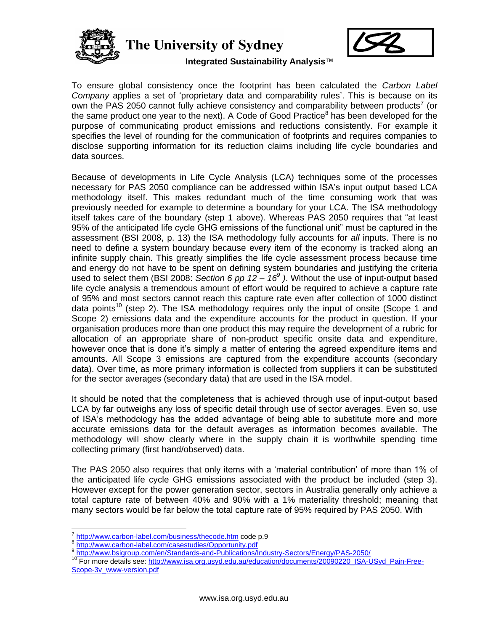

The University of Sydney



**Integrated Sustainability Analysis**™

To ensure global consistency once the footprint has been calculated the *Carbon Label Company* applies a set of "proprietary data and comparability rules". This is because on its own the PAS 2050 cannot fully achieve consistency and comparability between products<sup>7</sup> (or the same product one year to the next). A Code of Good Practice<sup>8</sup> has been developed for the purpose of communicating product emissions and reductions consistently. For example it specifies the level of rounding for the communication of footprints and requires companies to disclose supporting information for its reduction claims including life cycle boundaries and data sources.

Because of developments in Life Cycle Analysis (LCA) techniques some of the processes necessary for PAS 2050 compliance can be addressed within ISA"s input output based LCA methodology itself. This makes redundant much of the time consuming work that was previously needed for example to determine a boundary for your LCA. The ISA methodology itself takes care of the boundary (step 1 above). Whereas PAS 2050 requires that "at least 95% of the anticipated life cycle GHG emissions of the functional unit" must be captured in the assessment (BSI 2008, p. 13) the ISA methodology fully accounts for *all* inputs. There is no need to define a system boundary because every item of the economy is tracked along an infinite supply chain. This greatly simplifies the life cycle assessment process because time and energy do not have to be spent on defining system boundaries and justifying the criteria used to select them (BSI 2008: *Section 6 pp 12 – 16<sup>9</sup> )*. Without the use of input-output based life cycle analysis a tremendous amount of effort would be required to achieve a capture rate of 95% and most sectors cannot reach this capture rate even after collection of 1000 distinct data points<sup>10</sup> (step 2). The ISA methodology requires only the input of onsite (Scope 1 and Scope 2) emissions data and the expenditure accounts for the product in question. If your organisation produces more than one product this may require the development of a rubric for allocation of an appropriate share of non-product specific onsite data and expenditure, however once that is done it's simply a matter of entering the agreed expenditure items and amounts. All Scope 3 emissions are captured from the expenditure accounts (secondary data). Over time, as more primary information is collected from suppliers it can be substituted for the sector averages (secondary data) that are used in the ISA model.

It should be noted that the completeness that is achieved through use of input-output based LCA by far outweighs any loss of specific detail through use of sector averages. Even so, use of ISA"s methodology has the added advantage of being able to substitute more and more accurate emissions data for the default averages as information becomes available. The methodology will show clearly where in the supply chain it is worthwhile spending time collecting primary (first hand/observed) data.

The PAS 2050 also requires that only items with a "material contribution" of more than 1% of the anticipated life cycle GHG emissions associated with the product be included (step 3). However except for the power generation sector, sectors in Australia generally only achieve a total capture rate of between 40% and 90% with a 1% materiality threshold; meaning that many sectors would be far below the total capture rate of 95% required by PAS 2050. With

 $\overline{a}$ 

<sup>10</sup> For more details see: [http://www.isa.org.usyd.edu.au/education/documents/20090220\\_ISA-USyd\\_Pain-Free-](http://www.isa.org.usyd.edu.au/education/documents/20090220_ISA-USyd_Pain-Free-Scope-3v_www-version.pdf)[Scope-3v\\_www-version.pdf](http://www.isa.org.usyd.edu.au/education/documents/20090220_ISA-USyd_Pain-Free-Scope-3v_www-version.pdf)

<sup>7</sup> <http://www.carbon-label.com/business/thecode.htm> code p.9

<sup>8</sup> <http://www.carbon-label.com/casestudies/Opportunity.pdf>

<sup>9&</sup>lt;br><http://www.bsigroup.com/en/Standards-and-Publications/Industry-Sectors/Energy/PAS-2050/>